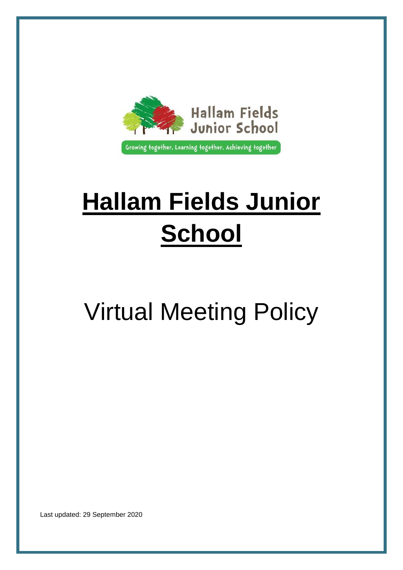

# **Hallam Fields Junior School**

# Virtual Meeting Policy

Last updated: 29 September 2020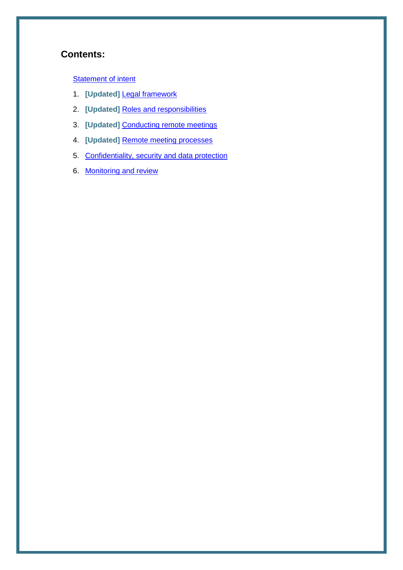# **Contents:**

### **[Statement of intent](#page-2-0)**

- 1. **[Updated]** [Legal framework](#page-3-0)
- 2. **[Updated]** [Roles and responsibilities](#page-3-1)
- 3. **[Updated]** [Conducting remote meetings](#page-5-0)
- 4. **[Updated]** [Remote meeting processes](#page-6-0)
- 5. [Confidentiality, security and data protection](#page-7-0)
- 6. [Monitoring and review](#page-8-0)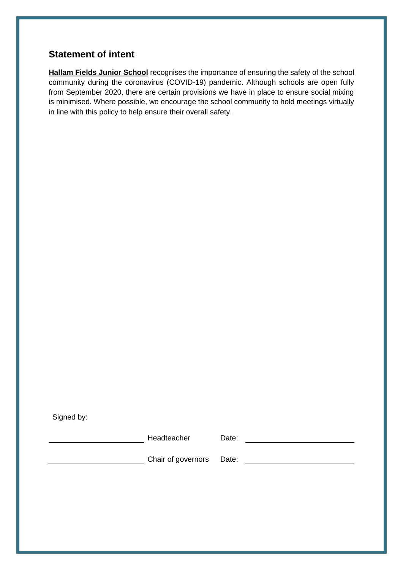# <span id="page-2-0"></span>**Statement of intent**

**Hallam Fields Junior School** recognises the importance of ensuring the safety of the school community during the coronavirus (COVID-19) pandemic. Although schools are open fully from September 2020, there are certain provisions we have in place to ensure social mixing is minimised. Where possible, we encourage the school community to hold meetings virtually in line with this policy to help ensure their overall safety.

Signed by:

extended by Headteacher Date:

Chair of governors Date: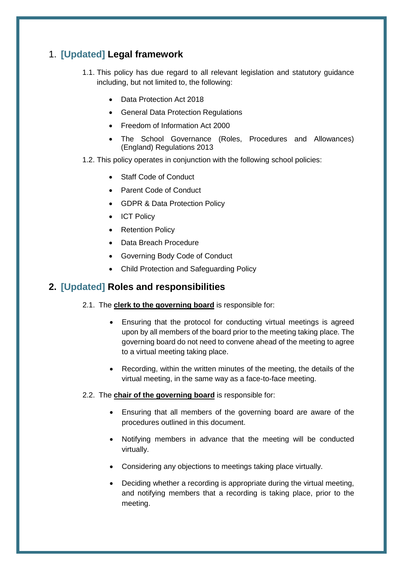# <span id="page-3-0"></span>1. **[Updated] Legal framework**

- 1.1. This policy has due regard to all relevant legislation and statutory guidance including, but not limited to, the following:
	- Data Protection Act 2018
	- General Data Protection Regulations
	- Freedom of Information Act 2000
	- The School Governance (Roles, Procedures and Allowances) (England) Regulations 2013
- 1.2. This policy operates in conjunction with the following school policies:
	- Staff Code of Conduct
	- Parent Code of Conduct
	- GDPR & Data Protection Policy
	- ICT Policy
	- Retention Policy
	- Data Breach Procedure
	- Governing Body Code of Conduct
	- Child Protection and Safeguarding Policy

## <span id="page-3-1"></span>**2. [Updated] Roles and responsibilities**

- 2.1. The **clerk to the governing board** is responsible for:
	- Ensuring that the protocol for conducting virtual meetings is agreed upon by all members of the board prior to the meeting taking place. The governing board do not need to convene ahead of the meeting to agree to a virtual meeting taking place.
	- Recording, within the written minutes of the meeting, the details of the virtual meeting, in the same way as a face-to-face meeting.
- 2.2. The **chair of the governing board** is responsible for:
	- Ensuring that all members of the governing board are aware of the procedures outlined in this document.
	- Notifying members in advance that the meeting will be conducted virtually.
	- Considering any objections to meetings taking place virtually.
	- Deciding whether a recording is appropriate during the virtual meeting, and notifying members that a recording is taking place, prior to the meeting.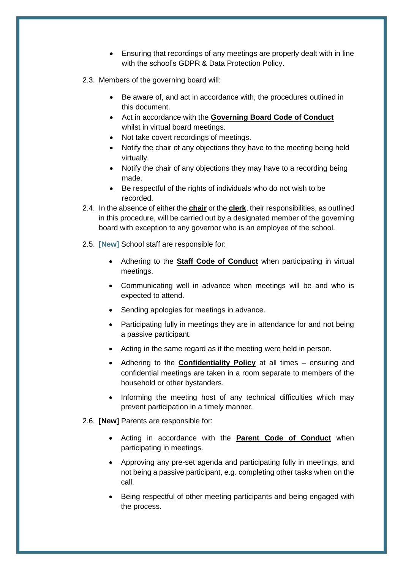- Ensuring that recordings of any meetings are properly dealt with in line with the school's GDPR & Data Protection Policy.
- 2.3. Members of the governing board will:
	- Be aware of, and act in accordance with, the procedures outlined in this document.
	- Act in accordance with the **Governing Board Code of Conduct** whilst in virtual board meetings.
	- Not take covert recordings of meetings.
	- Notify the chair of any objections they have to the meeting being held virtually.
	- Notify the chair of any objections they may have to a recording being made.
	- Be respectful of the rights of individuals who do not wish to be recorded.
- 2.4. In the absence of either the **chair** or the **clerk**, their responsibilities, as outlined in this procedure, will be carried out by a designated member of the governing board with exception to any governor who is an employee of the school.
- 2.5. **[New]** School staff are responsible for:
	- Adhering to the **Staff Code of Conduct** when participating in virtual meetings.
	- Communicating well in advance when meetings will be and who is expected to attend.
	- Sending apologies for meetings in advance.
	- Participating fully in meetings they are in attendance for and not being a passive participant.
	- Acting in the same regard as if the meeting were held in person.
	- Adhering to the **Confidentiality Policy** at all times ensuring and confidential meetings are taken in a room separate to members of the household or other bystanders.
	- Informing the meeting host of any technical difficulties which may prevent participation in a timely manner.
- 2.6. **[New]** Parents are responsible for:
	- Acting in accordance with the **Parent Code of Conduct** when participating in meetings.
	- Approving any pre-set agenda and participating fully in meetings, and not being a passive participant, e.g. completing other tasks when on the call.
	- Being respectful of other meeting participants and being engaged with the process.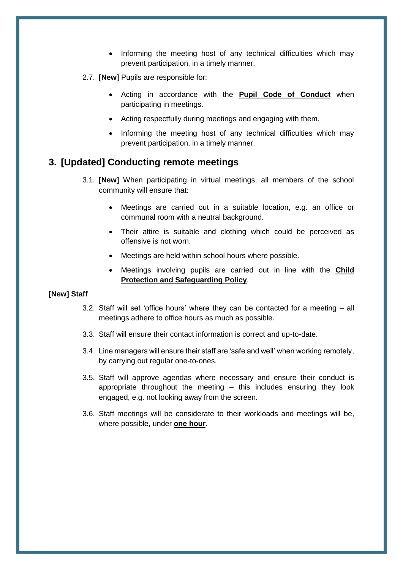- Informing the meeting host of any technical difficulties which may prevent participation, in a timely manner.
- 2.7. **[New]** Pupils are responsible for:
	- Acting in accordance with the **Pupil Code of Conduct** when participating in meetings.
	- Acting respectfully during meetings and engaging with them.
	- Informing the meeting host of any technical difficulties which may prevent participation, in a timely manner.

## <span id="page-5-0"></span>**3. [Updated] Conducting remote meetings**

- 3.1. **[New]** When participating in virtual meetings, all members of the school community will ensure that:
	- Meetings are carried out in a suitable location, e.g. an office or communal room with a neutral background.
	- Their attire is suitable and clothing which could be perceived as offensive is not worn.
	- Meetings are held within school hours where possible.
	- Meetings involving pupils are carried out in line with the **Child Protection and Safeguarding Policy**.

#### **[New] Staff**

- 3.2. Staff will set 'office hours' where they can be contacted for a meeting all meetings adhere to office hours as much as possible.
- 3.3. Staff will ensure their contact information is correct and up-to-date.
- 3.4. Line managers will ensure their staff are 'safe and well' when working remotely, by carrying out regular one-to-ones.
- 3.5. Staff will approve agendas where necessary and ensure their conduct is appropriate throughout the meeting – this includes ensuring they look engaged, e.g. not looking away from the screen.
- 3.6. Staff meetings will be considerate to their workloads and meetings will be, where possible, under **one hour**.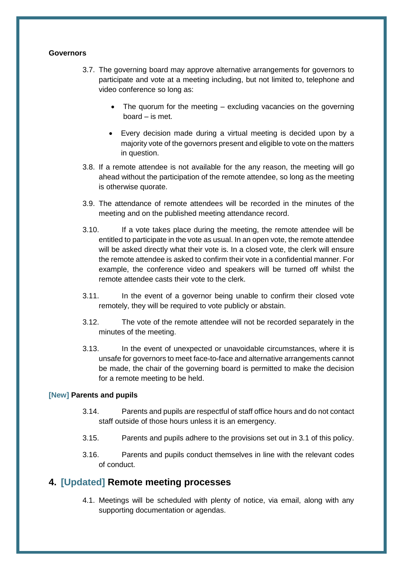#### **Governors**

- 3.7. The governing board may approve alternative arrangements for governors to participate and vote at a meeting including, but not limited to, telephone and video conference so long as:
	- The quorum for the meeting excluding vacancies on the governing board – is met.
	- Every decision made during a virtual meeting is decided upon by a majority vote of the governors present and eligible to vote on the matters in question.
- 3.8. If a remote attendee is not available for the any reason, the meeting will go ahead without the participation of the remote attendee, so long as the meeting is otherwise quorate.
- 3.9. The attendance of remote attendees will be recorded in the minutes of the meeting and on the published meeting attendance record.
- 3.10. If a vote takes place during the meeting, the remote attendee will be entitled to participate in the vote as usual. In an open vote, the remote attendee will be asked directly what their vote is. In a closed vote, the clerk will ensure the remote attendee is asked to confirm their vote in a confidential manner. For example, the conference video and speakers will be turned off whilst the remote attendee casts their vote to the clerk.
- 3.11. In the event of a governor being unable to confirm their closed vote remotely, they will be required to vote publicly or abstain.
- 3.12. The vote of the remote attendee will not be recorded separately in the minutes of the meeting.
- 3.13. In the event of unexpected or unavoidable circumstances, where it is unsafe for governors to meet face-to-face and alternative arrangements cannot be made, the chair of the governing board is permitted to make the decision for a remote meeting to be held.

#### **[New] Parents and pupils**

- 3.14. Parents and pupils are respectful of staff office hours and do not contact staff outside of those hours unless it is an emergency.
- 3.15. Parents and pupils adhere to the provisions set out in 3.1 of this policy.
- 3.16. Parents and pupils conduct themselves in line with the relevant codes of conduct.

#### <span id="page-6-0"></span>**4. [Updated] Remote meeting processes**

4.1. Meetings will be scheduled with plenty of notice, via email, along with any supporting documentation or agendas.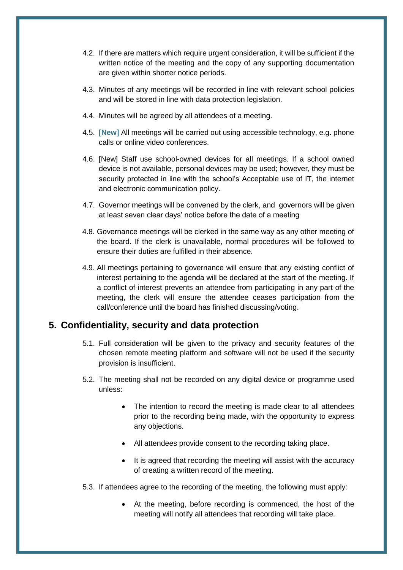- 4.2. If there are matters which require urgent consideration, it will be sufficient if the written notice of the meeting and the copy of any supporting documentation are given within shorter notice periods.
- 4.3. Minutes of any meetings will be recorded in line with relevant school policies and will be stored in line with data protection legislation.
- 4.4. Minutes will be agreed by all attendees of a meeting.
- 4.5. **[New]** All meetings will be carried out using accessible technology, e.g. phone calls or online video conferences.
- 4.6. [New] Staff use school-owned devices for all meetings. If a school owned device is not available, personal devices may be used; however, they must be security protected in line with the school's Acceptable use of IT, the internet and electronic communication policy.
- 4.7. Governor meetings will be convened by the clerk, and governors will be given at least seven clear days' notice before the date of a meeting
- 4.8. Governance meetings will be clerked in the same way as any other meeting of the board. If the clerk is unavailable, normal procedures will be followed to ensure their duties are fulfilled in their absence.
- 4.9. All meetings pertaining to governance will ensure that any existing conflict of interest pertaining to the agenda will be declared at the start of the meeting. If a conflict of interest prevents an attendee from participating in any part of the meeting, the clerk will ensure the attendee ceases participation from the call/conference until the board has finished discussing/voting.

### <span id="page-7-0"></span>**5. Confidentiality, security and data protection**

- 5.1. Full consideration will be given to the privacy and security features of the chosen remote meeting platform and software will not be used if the security provision is insufficient.
- 5.2. The meeting shall not be recorded on any digital device or programme used unless:
	- The intention to record the meeting is made clear to all attendees prior to the recording being made, with the opportunity to express any objections.
	- All attendees provide consent to the recording taking place.
	- It is agreed that recording the meeting will assist with the accuracy of creating a written record of the meeting.
- 5.3. If attendees agree to the recording of the meeting, the following must apply:
	- At the meeting, before recording is commenced, the host of the meeting will notify all attendees that recording will take place.